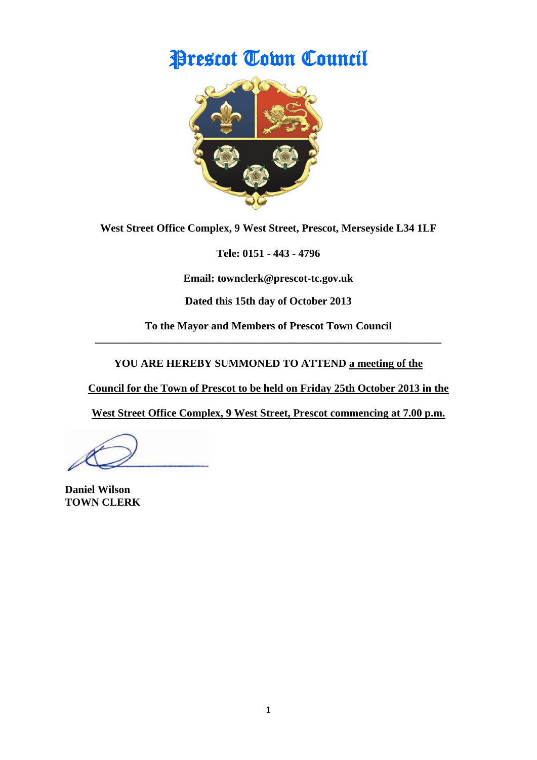# Prescot Town Council



**West Street Office Complex, 9 West Street, Prescot, Merseyside L34 1LF**

**Tele: 0151 - 443 - 4796**

**Email: townclerk@prescot-tc.gov.uk**

**Dated this 15th day of October 2013**

**To the Mayor and Members of Prescot Town Council \_\_\_\_\_\_\_\_\_\_\_\_\_\_\_\_\_\_\_\_\_\_\_\_\_\_\_\_\_\_\_\_\_\_\_\_\_\_\_\_\_\_\_\_\_\_\_\_\_\_\_\_\_\_\_\_\_\_\_\_\_\_\_\_**

**YOU ARE HEREBY SUMMONED TO ATTEND a meeting of the** 

**Council for the Town of Prescot to be held on Friday 25th October 2013 in the**

**West Street Office Complex, 9 West Street, Prescot commencing at 7.00 p.m.**

**Daniel Wilson TOWN CLERK**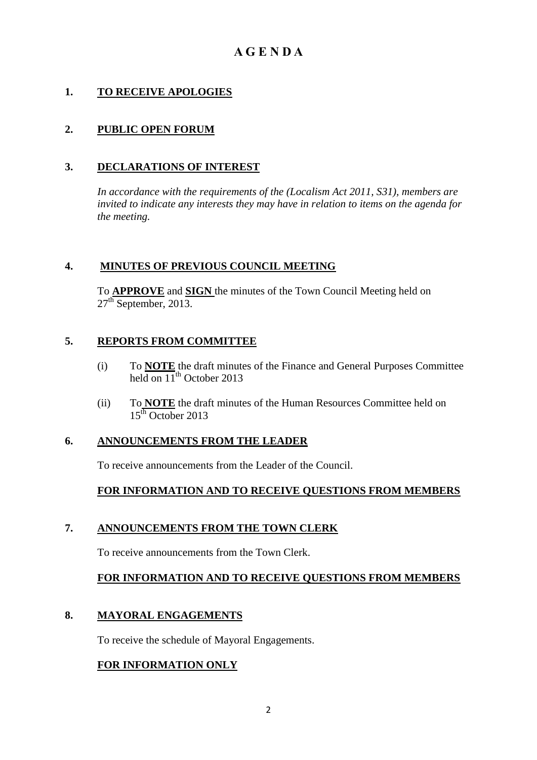## **A G E N D A**

## **1. TO RECEIVE APOLOGIES**

## **2. PUBLIC OPEN FORUM**

#### **3. DECLARATIONS OF INTEREST**

*In accordance with the requirements of the (Localism Act 2011, S31), members are invited to indicate any interests they may have in relation to items on the agenda for the meeting.*

#### **4. MINUTES OF PREVIOUS COUNCIL MEETING**

To **APPROVE** and **SIGN** the minutes of the Town Council Meeting held on  $27<sup>th</sup>$  September, 2013.

#### **5. REPORTS FROM COMMITTEE**

- (i) To **NOTE** the draft minutes of the Finance and General Purposes Committee held on  $11^{th}$  October 2013
- (ii) To **NOTE** the draft minutes of the Human Resources Committee held on  $15<sup>th</sup>$  October 2013

#### **6. ANNOUNCEMENTS FROM THE LEADER**

To receive announcements from the Leader of the Council.

#### **FOR INFORMATION AND TO RECEIVE QUESTIONS FROM MEMBERS**

#### **7. ANNOUNCEMENTS FROM THE TOWN CLERK**

To receive announcements from the Town Clerk.

## **FOR INFORMATION AND TO RECEIVE QUESTIONS FROM MEMBERS**

#### **8. MAYORAL ENGAGEMENTS**

To receive the schedule of Mayoral Engagements.

## **FOR INFORMATION ONLY**